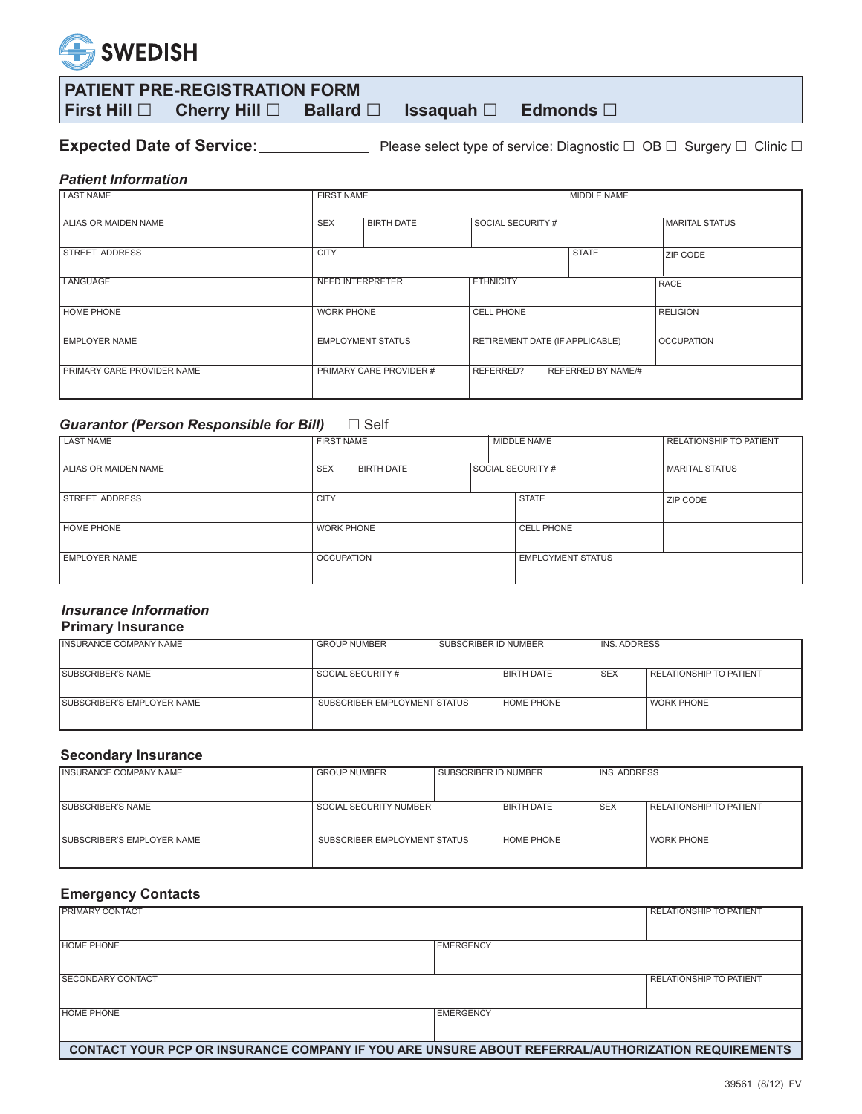

| <b>PATIENT PRE-REGISTRATION FORM</b> |  |                                                                                           |  |  |  |  |
|--------------------------------------|--|-------------------------------------------------------------------------------------------|--|--|--|--|
|                                      |  | <b>First Hill</b> $\Box$ Cherry Hill $\Box$ Ballard $\Box$ Issaquah $\Box$ Edmonds $\Box$ |  |  |  |  |

**Expected Date of Service:** Network Please select type of service: Diagnostic □ OB □ Surgery □ Clinic □

## *Patient Information*

| <b>LAST NAME</b>                  | <b>FIRST NAME</b>        |                   | MIDDLE NAME                     |                    |                       |
|-----------------------------------|--------------------------|-------------------|---------------------------------|--------------------|-----------------------|
| ALIAS OR MAIDEN NAME              | <b>SEX</b>               | <b>BIRTH DATE</b> | SOCIAL SECURITY #               |                    | <b>MARITAL STATUS</b> |
| <b>STREET ADDRESS</b>             | <b>CITY</b>              |                   | <b>STATE</b>                    |                    | <b>ZIP CODE</b>       |
| LANGUAGE                          | <b>NEED INTERPRETER</b>  |                   | <b>ETHNICITY</b>                |                    | <b>RACE</b>           |
| <b>HOME PHONE</b>                 | <b>WORK PHONE</b>        |                   | <b>CELL PHONE</b>               |                    | <b>RELIGION</b>       |
| <b>EMPLOYER NAME</b>              | <b>EMPLOYMENT STATUS</b> |                   | RETIREMENT DATE (IF APPLICABLE) |                    | <b>OCCUPATION</b>     |
| <b>PRIMARY CARE PROVIDER NAME</b> | PRIMARY CARE PROVIDER #  |                   | REFERRED?                       | REFERRED BY NAME/# |                       |

## **Guarantor (Person Responsible for Bill)**  $\Box$  Self

| <b>LAST NAME</b>     | <b>FIRST NAME</b> |                   | MIDDLE NAME              | <b>RELATIONSHIP TO PATIENT</b> |                       |
|----------------------|-------------------|-------------------|--------------------------|--------------------------------|-----------------------|
| ALIAS OR MAIDEN NAME | <b>SEX</b>        | <b>BIRTH DATE</b> |                          | <b>SOCIAL SECURITY #</b>       | <b>MARITAL STATUS</b> |
| STREET ADDRESS       | <b>CITY</b>       |                   | <b>STATE</b>             | ZIP CODE                       |                       |
| <b>HOME PHONE</b>    | <b>WORK PHONE</b> |                   | <b>CELL PHONE</b>        |                                |                       |
| <b>EMPLOYER NAME</b> | <b>OCCUPATION</b> |                   | <b>EMPLOYMENT STATUS</b> |                                |                       |

### *Insurance Information* **Primary Insurance**

| <b>IINSURANCE COMPANY NAME</b>     | GROUP NUMBER                 | SUBSCRIBER ID NUMBER |                   | INS, ADDRESS |                                |
|------------------------------------|------------------------------|----------------------|-------------------|--------------|--------------------------------|
|                                    |                              |                      |                   |              |                                |
| <b>SUBSCRIBER'S NAME</b>           | SOCIAL SECURITY #            |                      | BIRTH DATE        | <b>SEX</b>   | <b>RELATIONSHIP TO PATIENT</b> |
| <b>ISUBSCRIBER'S EMPLOYER NAME</b> | SUBSCRIBER EMPLOYMENT STATUS |                      | <b>HOME PHONE</b> |              | WORK PHONE                     |

# **Secondary Insurance**

| <b>INSURANCE COMPANY NAME</b>      | GROUP NUMBER                 | SUBSCRIBER ID NUMBER |            | INS, ADDRESS |                                |
|------------------------------------|------------------------------|----------------------|------------|--------------|--------------------------------|
|                                    |                              |                      |            |              |                                |
| <b>SUBSCRIBER'S NAME</b>           | SOCIAL SECURITY NUMBER       |                      | BIRTH DATE | <b>SEX</b>   | <b>RELATIONSHIP TO PATIENT</b> |
| <b>ISUBSCRIBER'S EMPLOYER NAME</b> | SUBSCRIBER EMPLOYMENT STATUS |                      | HOME PHONE |              | <b>WORK PHONE</b>              |

# **Emergency Contacts**

| <b>IPRIMARY CONTACT</b>                                                                           |                  | <b>RELATIONSHIP TO PATIENT</b> |  |
|---------------------------------------------------------------------------------------------------|------------------|--------------------------------|--|
| <b>HOME PHONE</b>                                                                                 | EMERGENCY        |                                |  |
| <b>ISECONDARY CONTACT</b>                                                                         |                  | RELATIONSHIP TO PATIENT        |  |
| <b>HOME PHONE</b>                                                                                 | <b>EMERGENCY</b> |                                |  |
| CONTACT YOUR PCP OR INSURANCE COMPANY IF YOU ARE UNSURE ABOUT REFERRAL/AUTHORIZATION REQUIREMENTS |                  |                                |  |